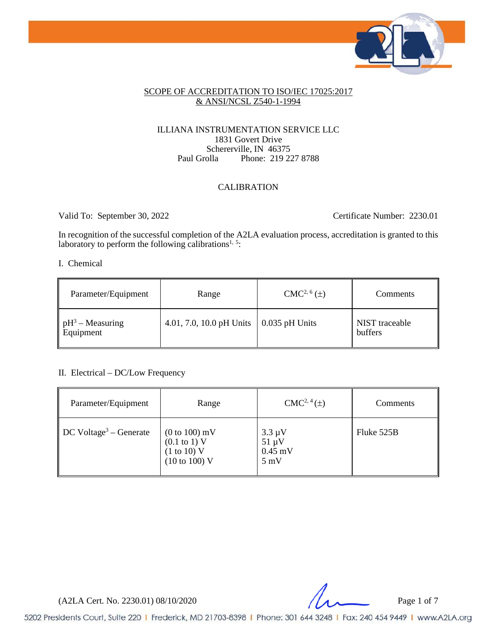

#### SCOPE OF ACCREDITATION TO ISO/IEC 17025:2017 & ANSI/NCSL Z540-1-1994

#### ILLIANA INSTRUMENTATION SERVICE LLC 1831 Govert Drive Schererville, IN 46375<br>Paul Grolla Phone: 219 22 Phone: 219 227 8788

## CALIBRATION

Valid To: September 30, 2022 Certificate Number: 2230.01

In recognition of the successful completion of the A2LA evaluation process, accreditation is granted to this laboratory to perform the following calibrations<sup>1, 5</sup>:

#### I. Chemical

| Parameter/Equipment                                  | Range                                           | $CMC2, 6(\pm)$ | Comments                         |
|------------------------------------------------------|-------------------------------------------------|----------------|----------------------------------|
| $\parallel$ pH <sup>3</sup> – Measuring<br>Equipment | 4.01, 7.0, 10.0 pH Units $\vert$ 0.035 pH Units |                | NIST traceable<br><b>buffers</b> |

### II. Electrical – DC/Low Frequency

| Parameter/Equipment                            | Range                                                                                                 | $CMC2, 4(\pm)$                                           | Comments   |
|------------------------------------------------|-------------------------------------------------------------------------------------------------------|----------------------------------------------------------|------------|
| $\parallel$ DC Voltage <sup>3</sup> – Generate | $(0 to 100)$ mV<br>$(0.1 \text{ to } 1) \text{ V}$<br>(1 to 10) V<br>$(10 \text{ to } 100) \text{ V}$ | $3.3 \mu V$<br>$51 \mu V$<br>$0.45$ mV<br>$5 \text{ mV}$ | Fluke 525B |

 $(A2LA$  Cert. No. 2230.01) 08/10/2020 Page 1 of 7

5202 Presidents Court, Suite 220 | Frederick, MD 21703-8398 | Phone: 301 644 3248 | Fax: 240 454 9449 | www.A2LA.org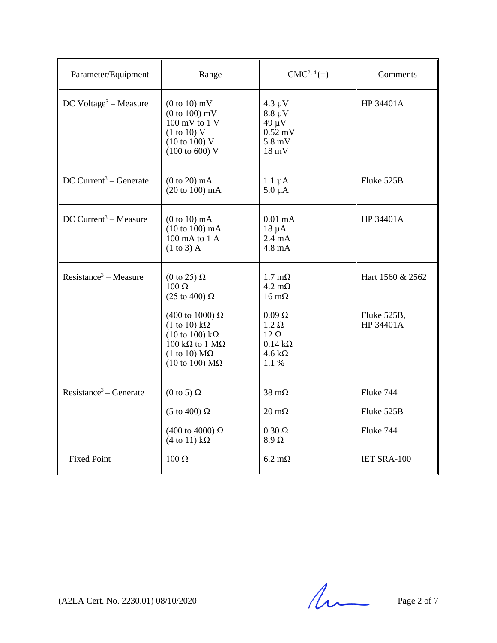| Parameter/Equipment                                      | Range                                                                                                                                                                                                                                                       | $CMC2, 4(\pm)$                                                                                                                                                                       | Comments                                            |
|----------------------------------------------------------|-------------------------------------------------------------------------------------------------------------------------------------------------------------------------------------------------------------------------------------------------------------|--------------------------------------------------------------------------------------------------------------------------------------------------------------------------------------|-----------------------------------------------------|
| $DC$ Voltage <sup>3</sup> – Measure                      | $(0 to 10)$ mV<br>$(0 to 100)$ mV<br>100 mV to 1 V<br>(1 to 10) V<br>$(10 \text{ to } 100) \text{ V}$<br>$(100 \text{ to } 600) \text{ V}$                                                                                                                  | $4.3 \mu V$<br>$8.8 \mu V$<br>$49 \mu V$<br>$0.52$ mV<br>$5.8$ mV<br>$18 \text{ mV}$                                                                                                 | HP 34401A                                           |
| $DC$ Current <sup>3</sup> – Generate                     | $(0 to 20)$ mA<br>$(20 \text{ to } 100) \text{ mA}$                                                                                                                                                                                                         | $1.1 \mu A$<br>$5.0 \mu A$                                                                                                                                                           | Fluke 525B                                          |
| $DC$ Current <sup>3</sup> – Measure                      | $(0 to 10)$ mA<br>$(10 to 100)$ mA<br>100 mA to 1 A<br>$(1 to 3)$ A                                                                                                                                                                                         | $0.01$ mA<br>$18 \mu A$<br>$2.4 \text{ mA}$<br>$4.8 \text{ mA}$                                                                                                                      | HP 34401A                                           |
| $Resistance3 - Measure$                                  | (0 to 25) $\Omega$<br>$100 \Omega$<br>$(25 \text{ to } 400) \Omega$<br>(400 to 1000) Ω<br>$(1 \text{ to } 10) \text{ k}\Omega$<br>$(10 \text{ to } 100) \text{ k}\Omega$<br>100 kΩ to 1 MΩ<br>(1 to 10) $M\Omega$<br>$(10 \text{ to } 100) \text{ M}\Omega$ | $1.7 \text{ m}\Omega$<br>$4.2 \text{ m}\Omega$<br>$16 \text{ m}\Omega$<br>$0.09 \Omega$<br>$1.2 \Omega$<br>$12 \Omega$<br>$0.14 \text{ k}\Omega$<br>$4.6 \text{ k}\Omega$<br>$1.1\%$ | Hart 1560 & 2562<br>Fluke 525B,<br>HP 34401A        |
| Resistance <sup>3</sup> – Generate<br><b>Fixed Point</b> | $(0 \text{ to } 5) \Omega$<br>$(5 \text{ to } 400) \Omega$<br>(400 to 4000) Ω<br>$(4 \text{ to } 11) \text{ k}\Omega$<br>$100 \Omega$                                                                                                                       | $38 \text{ m}\Omega$<br>$20 \text{ m}\Omega$<br>$0.30 \Omega$<br>$8.9 \Omega$<br>$6.2 \text{ m}\Omega$                                                                               | Fluke 744<br>Fluke 525B<br>Fluke 744<br>IET SRA-100 |
|                                                          |                                                                                                                                                                                                                                                             |                                                                                                                                                                                      |                                                     |

 $(A2LA$  Cert. No. 2230.01) 08/10/2020 Page 2 of 7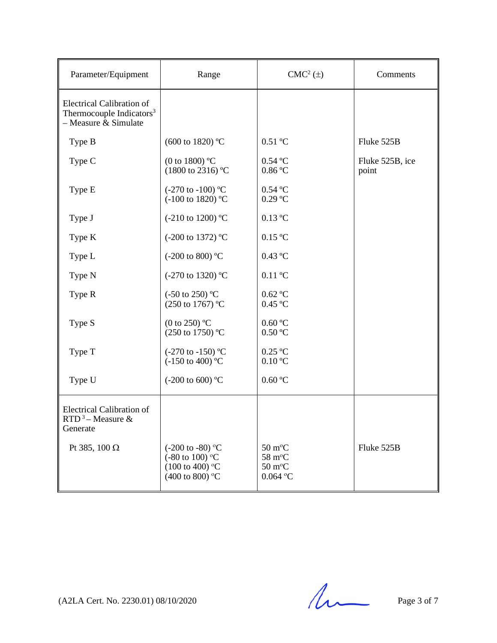| Parameter/Equipment                                                                                   | Range                                                                                                      | $CMC2(\pm)$                                                                                                              | Comments                 |
|-------------------------------------------------------------------------------------------------------|------------------------------------------------------------------------------------------------------------|--------------------------------------------------------------------------------------------------------------------------|--------------------------|
| <b>Electrical Calibration of</b><br>Thermocouple Indicators <sup>3</sup><br>$-$ Measure $\&$ Simulate |                                                                                                            |                                                                                                                          |                          |
| Type B                                                                                                | (600 to 1820) °C                                                                                           | $0.51$ °C                                                                                                                | Fluke 525B               |
| Type C                                                                                                | (0 to 1800) $^{\circ}$ C<br>$(1800 \text{ to } 2316) \text{ °C}$                                           | $0.54$ °C<br>0.86 °C                                                                                                     | Fluke 525B, ice<br>point |
| Type E                                                                                                | $(-270 \text{ to } -100) \text{ °C}$<br>$(-100 \text{ to } 1820)$ °C                                       | $0.54$ °C<br>$0.29$ °C                                                                                                   |                          |
| Type J                                                                                                | (-210 to 1200) °C                                                                                          | $0.13$ °C                                                                                                                |                          |
| Type K                                                                                                | (-200 to 1372) °C                                                                                          | 0.15 °C                                                                                                                  |                          |
| Type L                                                                                                | $(-200 \text{ to } 800)$ °C                                                                                | $0.43$ °C                                                                                                                |                          |
| Type N                                                                                                | (-270 to 1320) °C                                                                                          | $0.11$ °C                                                                                                                |                          |
| Type R                                                                                                | $(-50 \text{ to } 250)$ °C<br>(250 to 1767) °C                                                             | $0.62$ °C<br>$0.45$ °C                                                                                                   |                          |
| Type S                                                                                                | (0 to 250) $^{\circ}$ C<br>(250 to 1750) °C                                                                | 0.60 °C<br>0.50 °C                                                                                                       |                          |
| Type T                                                                                                | $(-270 \text{ to } -150)$ °C<br>$(-150 \text{ to } 400)$ °C                                                | $0.25$ °C<br>$0.10\text{ °C}$                                                                                            |                          |
| Type U                                                                                                | $(-200 \text{ to } 600)$ °C                                                                                | 0.60 °C                                                                                                                  |                          |
| <b>Electrical Calibration of</b><br>RTD <sup>3</sup> – Measure &<br>Generate                          |                                                                                                            |                                                                                                                          |                          |
| Pt 385, 100 $\Omega$                                                                                  | $(-200 \text{ to } -80)$ °C<br>$(-80 \text{ to } 100)$ °C<br>$(100 \text{ to } 400)$ °C<br>(400 to 800) °C | $50 \text{ m}^{\circ}\text{C}$<br>$58~\text{m}^{\circ}\text{C}$<br>$50\;\mathrm{m}^{\mathrm{o}}\mathrm{C}$<br>$0.064$ °C | Fluke 525B               |

 $(A2LA$  Cert. No. 2230.01) 08/10/2020 Page 3 of 7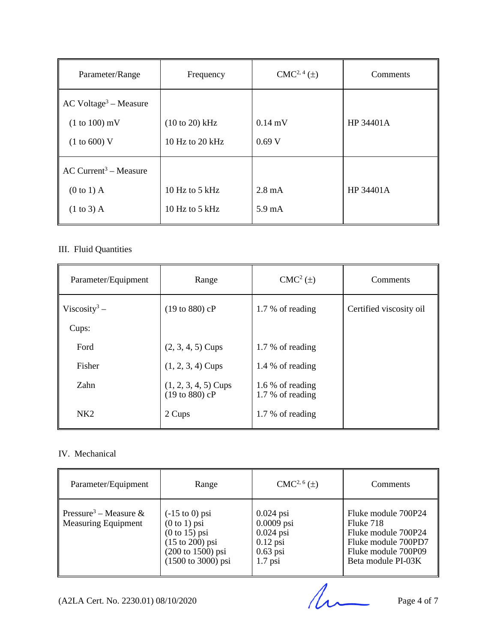| Parameter/Range                                                              | Frequency                             | $CMC2, 4(\pm)$                       | Comments  |
|------------------------------------------------------------------------------|---------------------------------------|--------------------------------------|-----------|
| $AC$ Voltage <sup>3</sup> – Measure<br>$(1 to 100)$ mV<br>(1 to 600) V       | $(10 to 20)$ kHz<br>10 Hz to 20 $kHz$ | $0.14$ mV<br>0.69 V                  | HP 34401A |
| $AC$ Current <sup>3</sup> – Measure<br>$(0 to 1)$ A<br>$(1 \text{ to } 3)$ A | 10 Hz to 5 kHz<br>10 Hz to 5 kHz      | $2.8 \text{ mA}$<br>$5.9 \text{ mA}$ | HP 34401A |

# III. Fluid Quantities

| Parameter/Equipment      | Range                                    | $CMC2(\pm)$                          | Comments                |
|--------------------------|------------------------------------------|--------------------------------------|-------------------------|
| Viscosity <sup>3</sup> – | (19 to 880) cP                           | 1.7 % of reading                     | Certified viscosity oil |
| Cups:                    |                                          |                                      |                         |
| Ford                     | $(2, 3, 4, 5)$ Cups                      | 1.7 % of reading                     |                         |
| Fisher                   | $(1, 2, 3, 4)$ Cups                      | 1.4 % of reading                     |                         |
| Zahn                     | $(1, 2, 3, 4, 5)$ Cups<br>(19 to 880) cP | 1.6 % of reading<br>1.7 % of reading |                         |
| NK2                      | 2 Cups                                   | 1.7 % of reading                     |                         |

# IV. Mechanical

| Parameter/Equipment                                             | Range                                                                                                                                                      | $CMC2, 6(\pm)$                                                                      | Comments                                                                                                                    |
|-----------------------------------------------------------------|------------------------------------------------------------------------------------------------------------------------------------------------------------|-------------------------------------------------------------------------------------|-----------------------------------------------------------------------------------------------------------------------------|
| Pressure <sup>3</sup> – Measure &<br><b>Measuring Equipment</b> | $(-15 \text{ to } 0)$ psi<br>$(0 to 1)$ psi<br>$(0 to 15)$ psi<br>$(15 \text{ to } 200)$ psi<br>(200 to 1500) psi<br>$(1500 \text{ to } 3000) \text{ psi}$ | $0.024$ psi<br>$0.0009$ psi<br>$0.024$ psi<br>$0.12$ psi<br>$0.63$ psi<br>$1.7$ psi | Fluke module 700P24<br>Fluke 718<br>Fluke module 700P24<br>Fluke module 700PD7<br>Fluke module 700P09<br>Beta module PI-03K |

(A2LA Cert. No. 2230.01) 08/10/2020 Page 4 of 7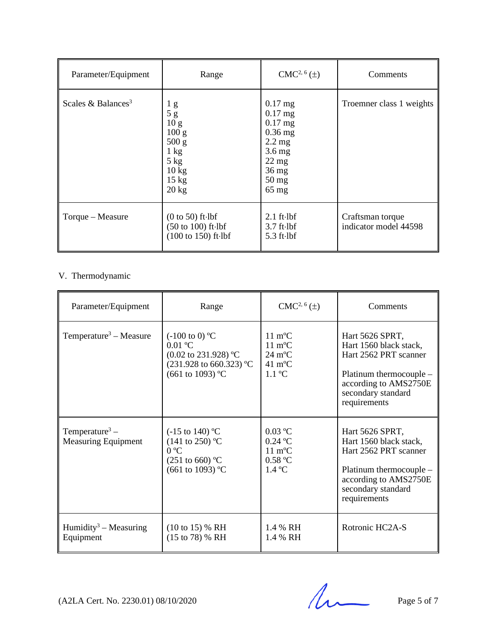| Parameter/Equipment            | Range                                                                                                                             | $CMC2, 6(\pm)$                                                                                                               | Comments                                  |
|--------------------------------|-----------------------------------------------------------------------------------------------------------------------------------|------------------------------------------------------------------------------------------------------------------------------|-------------------------------------------|
| Scales & Balances <sup>3</sup> | 1 g<br>5g<br>10 <sub>g</sub><br>100 g<br>500 g<br>$1 \text{ kg}$<br>5 kg<br>$10 \text{ kg}$<br>$15 \text{ kg}$<br>$20 \text{ kg}$ | $0.17$ mg<br>$0.17$ mg<br>$0.17$ mg<br>$0.36$ mg<br>$2.2 \text{ mg}$<br>$3.6$ mg<br>$22$ mg<br>$36$ mg<br>$50$ mg<br>$65$ mg | Troemner class 1 weights                  |
| Torque – Measure               | $(0 to 50)$ ft $\cdot$ lbf<br>$(50 \text{ to } 100)$ ft $\cdot$ lbf<br>$(100 \text{ to } 150)$ ft $\cdot$ lbf                     | $2.1$ ft $\cdot$ lbf<br>$3.7$ ft $\cdot$ lbf<br>$5.3$ ft $\cdot$ lbf                                                         | Craftsman torque<br>indicator model 44598 |

# V. Thermodynamic

| Parameter/Equipment                                      | Range                                                                                                                               | $CMC2, 6(\pm)$                                                                                                                              | Comments                                                                                                                                                     |
|----------------------------------------------------------|-------------------------------------------------------------------------------------------------------------------------------------|---------------------------------------------------------------------------------------------------------------------------------------------|--------------------------------------------------------------------------------------------------------------------------------------------------------------|
| Temperature <sup>3</sup> – Measure                       | $(-100 \text{ to } 0)$ °C<br>$0.01$ °C<br>$(0.02 \text{ to } 231.928)$ °C<br>(231.928 to 660.323) °C<br>$(661 \text{ to } 1093)$ °C | $11 \text{ m}^{\circ}$ C<br>$11 \text{ m}^{\circ}$ C<br>$24 \text{ m}^{\circ}\text{C}$<br>$41 \text{ m}^{\circ}\text{C}$<br>$1.1 \text{°C}$ | Hart 5626 SPRT,<br>Hart 1560 black stack,<br>Hart 2562 PRT scanner<br>Platinum thermocouple –<br>according to AMS2750E<br>secondary standard<br>requirements |
| Temperature <sup>3</sup> –<br><b>Measuring Equipment</b> | $(-15 \text{ to } 140)$ °C<br>$(141 \text{ to } 250)$ °C<br>$0^{\circ}C$<br>$(251 \text{ to } 660)$ °C<br>(661 to 1093) °C          | $0.03$ °C<br>$0.24$ °C<br>$11 \text{ m}^{\circ}\text{C}$<br>0.58 °C<br>1.4 °C                                                               | Hart 5626 SPRT,<br>Hart 1560 black stack,<br>Hart 2562 PRT scanner<br>Platinum thermocouple –<br>according to AMS2750E<br>secondary standard<br>requirements |
| $H$ umidity <sup>3</sup> – Measuring<br>Equipment        | $(10 \text{ to } 15)$ % RH<br>$(15 \text{ to } 78)$ % RH                                                                            | 1.4 % RH<br>1.4 % RH                                                                                                                        | Rotronic HC2A-S                                                                                                                                              |

 $(A2LA$  Cert. No. 2230.01) 08/10/2020 Page 5 of 7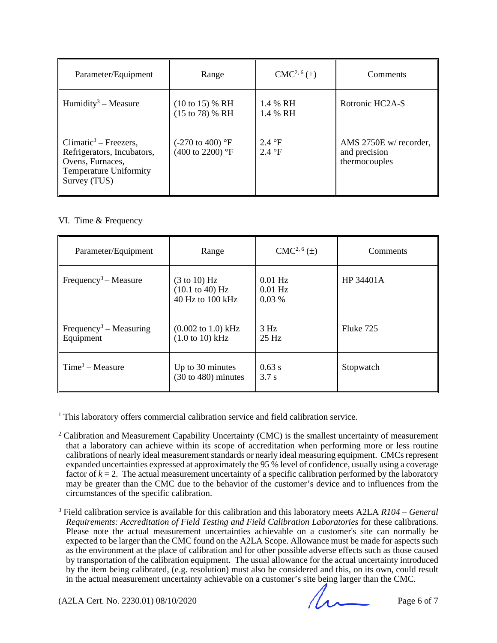| Parameter/Equipment                                                                                                                  | Range                                                      | $CMC2, 6(\pm)$       | Comments                                                 |
|--------------------------------------------------------------------------------------------------------------------------------------|------------------------------------------------------------|----------------------|----------------------------------------------------------|
| $H$ umidity <sup>3</sup> – Measure                                                                                                   | $(10 \text{ to } 15)$ % RH<br>$(15 \text{ to } 78)$ % RH   | 1.4 % RH<br>1.4 % RH | Rotronic HC2A-S                                          |
| Climatic <sup>3</sup> – Freezers,<br>Refrigerators, Incubators,<br>Ovens, Furnaces,<br><b>Temperature Uniformity</b><br>Survey (TUS) | $(-270 \text{ to } 400)$ °F<br>$(400 \text{ to } 2200)$ °F | 2.4 °F<br>2.4 °F     | AMS 2750E w/ recorder,<br>and precision<br>thermocouples |

### VI. Time & Frequency

| Parameter/Equipment                             | Range                                                                             | $CMC2, 6(\pm)$                  | Comments  |
|-------------------------------------------------|-----------------------------------------------------------------------------------|---------------------------------|-----------|
| Frequency <sup>3</sup> – Measure                | $(3 \text{ to } 10)$ Hz<br>$(10.1 \text{ to } 40) \text{ Hz}$<br>40 Hz to 100 kHz | $0.01$ Hz<br>$0.01$ Hz<br>0.03% | HP 34401A |
| Frequency <sup>3</sup> – Measuring<br>Equipment | $(0.002 \text{ to } 1.0) \text{ kHz}$<br>$(1.0 \text{ to } 10) \text{ kHz}$       | 3 Hz<br>25 Hz                   | Fluke 725 |
| $Time3 - Measure$                               | Up to 30 minutes<br>$(30 \text{ to } 480)$ minutes                                | 0.63 s<br>3.7 s                 | Stopwatch |

<sup>1</sup> This laboratory offers commercial calibration service and field calibration service.

- <sup>2</sup> Calibration and Measurement Capability Uncertainty (CMC) is the smallest uncertainty of measurement that a laboratory can achieve within its scope of accreditation when performing more or less routine calibrations of nearly ideal measurement standards or nearly ideal measuring equipment. CMCs represent expanded uncertainties expressed at approximately the 95 % level of confidence, usually using a coverage factor of  $k = 2$ . The actual measurement uncertainty of a specific calibration performed by the laboratory may be greater than the CMC due to the behavior of the customer's device and to influences from the circumstances of the specific calibration.
- <sup>3</sup> Field calibration service is available for this calibration and this laboratory meets A2LA *R104 – General Requirements: Accreditation of Field Testing and Field Calibration Laboratories* for these calibrations. Please note the actual measurement uncertainties achievable on a customer's site can normally be expected to be larger than the CMC found on the A2LA Scope. Allowance must be made for aspects such as the environment at the place of calibration and for other possible adverse effects such as those caused by transportation of the calibration equipment. The usual allowance for the actual uncertainty introduced by the item being calibrated, (e.g. resolution) must also be considered and this, on its own, could result in the actual measurement uncertainty achievable on a customer's site being larger than the CMC.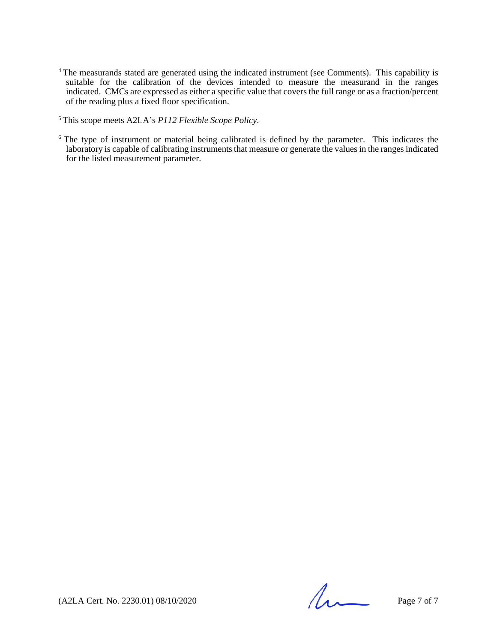- <sup>4</sup> The measurands stated are generated using the indicated instrument (see Comments). This capability is suitable for the calibration of the devices intended to measure the measurand in the ranges indicated. CMCs are expressed as either a specific value that covers the full range or as a fraction/percent of the reading plus a fixed floor specification.
- 5 This scope meets A2LA's *P112 Flexible Scope Policy*.
- <sup>6</sup> The type of instrument or material being calibrated is defined by the parameter. This indicates the laboratory is capable of calibrating instruments that measure or generate the values in the ranges indicated for the listed measurement parameter.

 $(A2LA$  Cert. No. 2230.01) 08/10/2020 Page 7 of 7